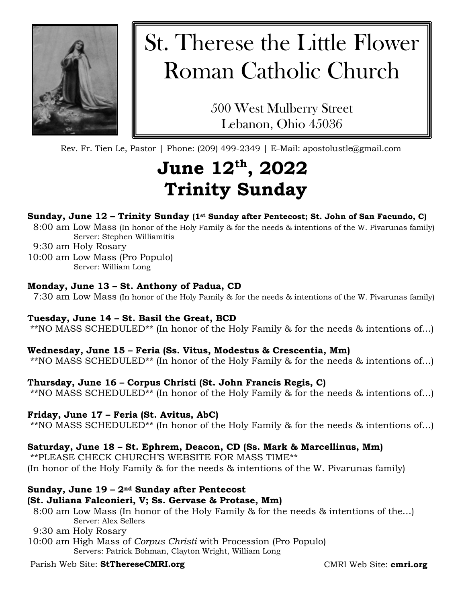

# St. Therese the Little Flower Roman Catholic Church

500 West Mulberry Street Lebanon, Ohio 45036

Rev. Fr. Tien Le, Pastor | Phone: (209) 499-2349 | E-Mail: apostolustle@gmail.com

## **June 12th, 2022 Trinity Sunday**

#### **Sunday, June 12 – Trinity Sunday (1st Sunday after Pentecost; St. John of San Facundo, C)**

8:00 am Low Mass (In honor of the Holy Family & for the needs & intentions of the W. Pivarunas family) Server: Stephen Williamitis

9:30 am Holy Rosary

10:00 am Low Mass (Pro Populo) Server: William Long

#### **Monday, June 13 – St. Anthony of Padua, CD**

7:30 am Low Mass (In honor of the Holy Family & for the needs & intentions of the W. Pivarunas family)

#### **Tuesday, June 14 – St. Basil the Great, BCD**

\*\*NO MASS SCHEDULED\*\* (In honor of the Holy Family & for the needs & intentions of…)

#### **Wednesday, June 15 – Feria (Ss. Vitus, Modestus & Crescentia, Mm)**

\*\*NO MASS SCHEDULED\*\* (In honor of the Holy Family & for the needs & intentions of…)

#### **Thursday, June 16 – Corpus Christi (St. John Francis Regis, C)**

\*\*NO MASS SCHEDULED\*\* (In honor of the Holy Family & for the needs & intentions of…)

#### **Friday, June 17 – Feria (St. Avitus, AbC)**

\*\*NO MASS SCHEDULED\*\* (In honor of the Holy Family & for the needs & intentions of…)

#### **Saturday, June 18 – St. Ephrem, Deacon, CD (Ss. Mark & Marcellinus, Mm)**

\*\*PLEASE CHECK CHURCH'S WEBSITE FOR MASS TIME\*\* (In honor of the Holy Family & for the needs & intentions of the W. Pivarunas family)

#### **Sunday, June 19 – 2nd Sunday after Pentecost**

#### **(St. Juliana Falconieri, V; Ss. Gervase & Protase, Mm)**

8:00 am Low Mass (In honor of the Holy Family & for the needs & intentions of the…) Server: Alex Sellers

9:30 am Holy Rosary

10:00 am High Mass of *Corpus Christi* with Procession (Pro Populo) Servers: Patrick Bohman, Clayton Wright, William Long

### Parish Web Site: **StThereseCMRI.org**

CMRI Web Site: **cmri.org**